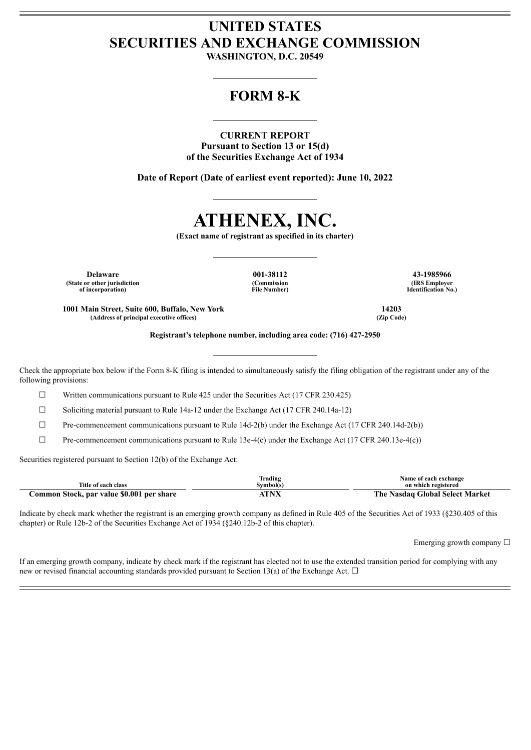## **UNITED STATES SECURITIES AND EXCHANGE COMMISSION**

**WASHINGTON, D.C. 20549**

### **FORM 8-K**

#### **CURRENT REPORT Pursuant to Section 13 or 15(d) of the Securities Exchange Act of 1934**

**Date of Report (Date of earliest event reported): June 10, 2022**

# **ATHENEX, INC.**

**(Exact name of registrant as specified in its charter)**

**Delaware 001-38112 43-1985966 (State or other jurisdiction of incorporation)**

**(Commission File Number)**

**(IRS Employer Identification No.)**

**1001 Main Street, Suite 600, Buffalo, New York 14203**  $(A$ ddress of principal executive offices)

**Registrant's telephone number, including area code: (716) 427-2950**

Check the appropriate box below if the Form 8-K filing is intended to simultaneously satisfy the filing obligation of the registrant under any of the following provisions:

 $\Box$  Written communications pursuant to Rule 425 under the Securities Act (17 CFR 230.425)

 $\Box$  Soliciting material pursuant to Rule 14a-12 under the Exchange Act (17 CFR 240.14a-12)

 $\Box$  Pre-commencement communications pursuant to Rule 14d-2(b) under the Exchange Act (17 CFR 240.14d-2(b))

 $\Box$  Pre-commencement communications pursuant to Rule 13e-4(c) under the Exchange Act (17 CFR 240.13e-4(c))

Securities registered pursuant to Section 12(b) of the Exchange Act:

|                                           | lrading   | Name of each exchange           |
|-------------------------------------------|-----------|---------------------------------|
| Title of each class                       | Svmbol(s) | on which registered             |
| Common Stock, par value \$0.001 per share | TNV       | The Nasdaq Global Select Market |

Indicate by check mark whether the registrant is an emerging growth company as defined in Rule 405 of the Securities Act of 1933 (§230.405 of this chapter) or Rule 12b-2 of the Securities Exchange Act of 1934 (§240.12b-2 of this chapter).

Emerging growth company  $\Box$ 

If an emerging growth company, indicate by check mark if the registrant has elected not to use the extended transition period for complying with any new or revised financial accounting standards provided pursuant to Section 13(a) of the Exchange Act.  $\Box$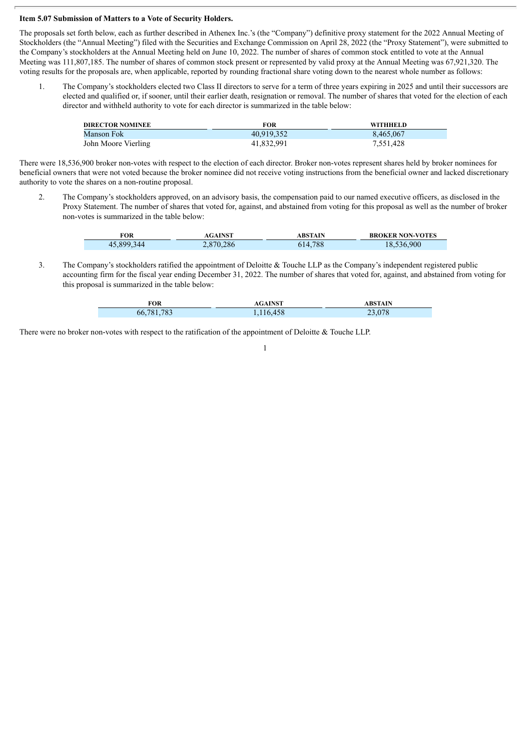#### **Item 5.07 Submission of Matters to a Vote of Security Holders.**

The proposals set forth below, each as further described in Athenex Inc.'s (the "Company") definitive proxy statement for the 2022 Annual Meeting of Stockholders (the "Annual Meeting") filed with the Securities and Exchange Commission on April 28, 2022 (the "Proxy Statement"), were submitted to the Company's stockholders at the Annual Meeting held on June 10, 2022. The number of shares of common stock entitled to vote at the Annual Meeting was 111,807,185. The number of shares of common stock present or represented by valid proxy at the Annual Meeting was 67,921,320. The voting results for the proposals are, when applicable, reported by rounding fractional share voting down to the nearest whole number as follows:

1. The Company's stockholders elected two Class II directors to serve for a term of three years expiring in 2025 and until their successors are elected and qualified or, if sooner, until their earlier death, resignation or removal. The number of shares that voted for the election of each director and withheld authority to vote for each director is summarized in the table below:

| <b>DIRECTOR NOMINEE</b> | <b>FOR</b> | <b>WITHHELD</b> |
|-------------------------|------------|-----------------|
| Manson Fok              | 40.919.352 | 8.465.067       |
| John Moore Vierling     | 41,832,991 | 7,551,428       |

There were 18,536,900 broker non-votes with respect to the election of each director. Broker non-votes represent shares held by broker nominees for beneficial owners that were not voted because the broker nominee did not receive voting instructions from the beneficial owner and lacked discretionary authority to vote the shares on a non-routine proposal.

2. The Company's stockholders approved, on an advisory basis, the compensation paid to our named executive officers, as disclosed in the Proxy Statement. The number of shares that voted for, against, and abstained from voting for this proposal as well as the number of broker non-votes is summarized in the table below:

| FOR        | <b>AGAINST</b> | <b>ABSTAIN</b> | <b>BROKER NON-VOTES</b> |
|------------|----------------|----------------|-------------------------|
| 45,899,344 | 2,870,286      | 614,788        | 18,536,900              |

3. The Company's stockholders ratified the appointment of Deloitte & Touche LLP as the Company's independent registered public accounting firm for the fiscal year ending December 31, 2022. The number of shares that voted for, against, and abstained from voting for this proposal is summarized in the table below:

| FOR             | <b>AGAINST</b> | <b>ABSTAIN</b> |
|-----------------|----------------|----------------|
| .783<br>66,781, | 1,116,458      | 23,078         |

1

There were no broker non-votes with respect to the ratification of the appointment of Deloitte & Touche LLP.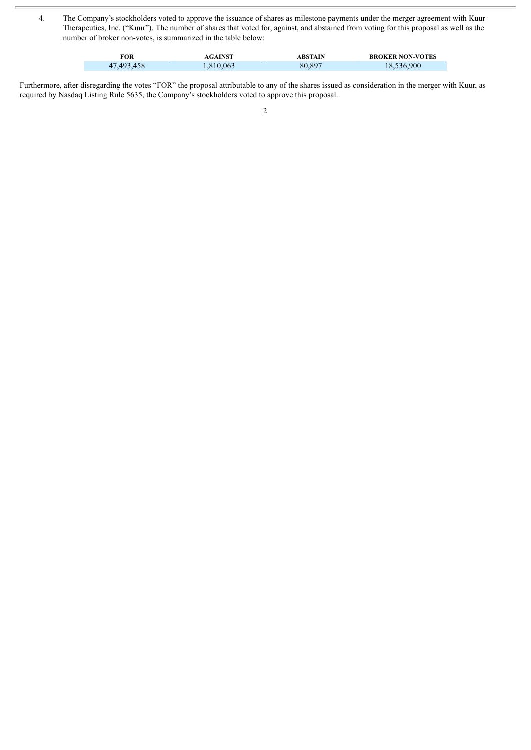4. The Company's stockholders voted to approve the issuance of shares as milestone payments under the merger agreement with Kuur Therapeutics, Inc. ("Kuur"). The number of shares that voted for, against, and abstained from voting for this proposal as well as the number of broker non-votes, is summarized in the table below:

| FOR        | AGAINST  | ABSTAIN | <b>BROKER NON-VOTES</b> |
|------------|----------|---------|-------------------------|
| 47.493.458 | .810.063 | 80,897  | 18.536.900              |

Furthermore, after disregarding the votes "FOR" the proposal attributable to any of the shares issued as consideration in the merger with Kuur, as required by Nasdaq Listing Rule 5635, the Company's stockholders voted to approve this proposal.